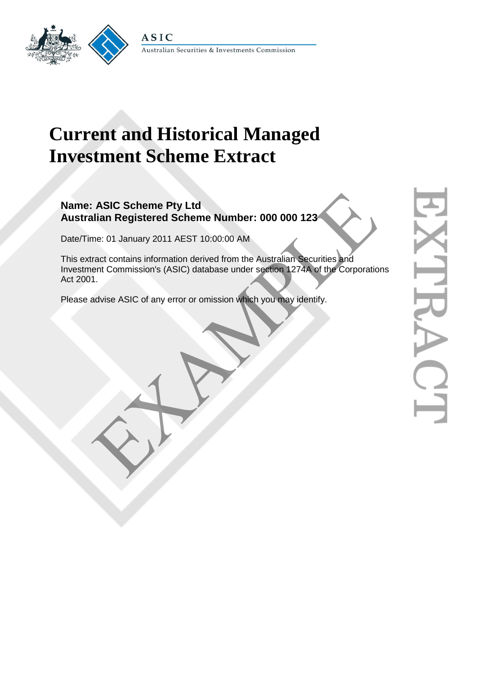

## **Current and Historical Managed Investment Scheme Extract**

## **Name: ASIC Scheme Pty Ltd Australian Registered Scheme Number: 000 000 123**

Date/Time: 01 January 2011 AEST 10:00:00 AM

This extract contains information derived from the Australian Securities and Investment Commission's (ASIC) database under section 1274A of the Corporations Act 2001. ASIC Scheme Pty Ltd<br>
Ilian Registered Scheme Number: 000 000 123<br>
me: 01 January 2011 AEST 10:00:00 AM<br>
Fract contains information derived from the Australian Securities and<br>
ent Commission's (ASIC) database under section

Please advise ASIC of any error or omission which you may identify.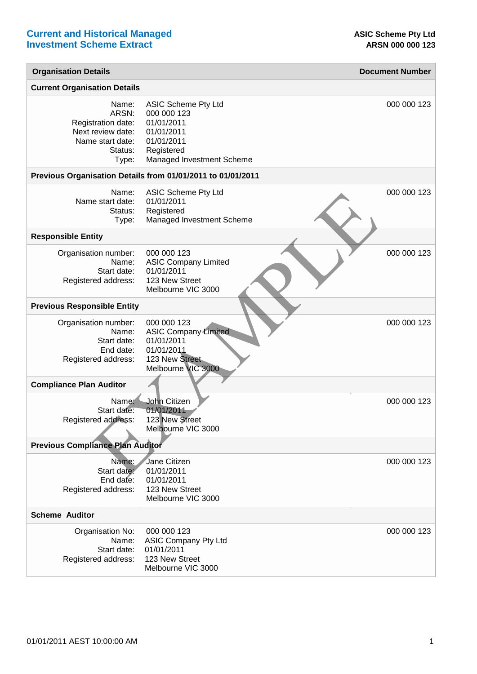| <b>Organisation Details</b>                                                                       |                                                                                                                                | <b>Document Number</b> |
|---------------------------------------------------------------------------------------------------|--------------------------------------------------------------------------------------------------------------------------------|------------------------|
| <b>Current Organisation Details</b>                                                               |                                                                                                                                |                        |
| Name:<br>ARSN:<br>Registration date:<br>Next review date:<br>Name start date:<br>Status:<br>Type: | <b>ASIC Scheme Pty Ltd</b><br>000 000 123<br>01/01/2011<br>01/01/2011<br>01/01/2011<br>Registered<br>Managed Investment Scheme | 000 000 123            |
|                                                                                                   | Previous Organisation Details from 01/01/2011 to 01/01/2011                                                                    |                        |
| Name:<br>Name start date:<br>Status:<br>Type:                                                     | ASIC Scheme Pty Ltd<br>01/01/2011<br>Registered<br>Managed Investment Scheme                                                   | 000 000 123            |
| <b>Responsible Entity</b>                                                                         |                                                                                                                                |                        |
| Organisation number:<br>Name:<br>Start date:<br>Registered address:                               | 000 000 123<br><b>ASIC Company Limited</b><br>01/01/2011<br>123 New Street<br>Melbourne VIC 3000                               | 000 000 123            |
| <b>Previous Responsible Entity</b>                                                                |                                                                                                                                |                        |
| Organisation number:<br>Name:<br>Start date:<br>End date:<br>Registered address:                  | 000 000 123<br><b>ASIC Company Limited</b><br>01/01/2011<br>01/01/2011<br>123 New Street<br>Melbourne VIC 3000                 | 000 000 123            |
| <b>Compliance Plan Auditor</b>                                                                    |                                                                                                                                |                        |
| Name:<br>Start date:<br>Registered address:                                                       | John Citizen<br>01/01/2011<br>123 New Street<br>Melbourne VIC 3000                                                             | 000 000 123            |
| <b>Previous Compliance Plan Auditor</b>                                                           |                                                                                                                                |                        |
| Name:<br>Start date:<br>End date:<br>Registered address:                                          | Jane Citizen<br>01/01/2011<br>01/01/2011<br>123 New Street<br>Melbourne VIC 3000                                               | 000 000 123            |
| <b>Scheme Auditor</b>                                                                             |                                                                                                                                |                        |
| Organisation No:<br>Name:<br>Start date:<br>Registered address:                                   | 000 000 123<br><b>ASIC Company Pty Ltd</b><br>01/01/2011<br>123 New Street<br>Melbourne VIC 3000                               | 000 000 123            |